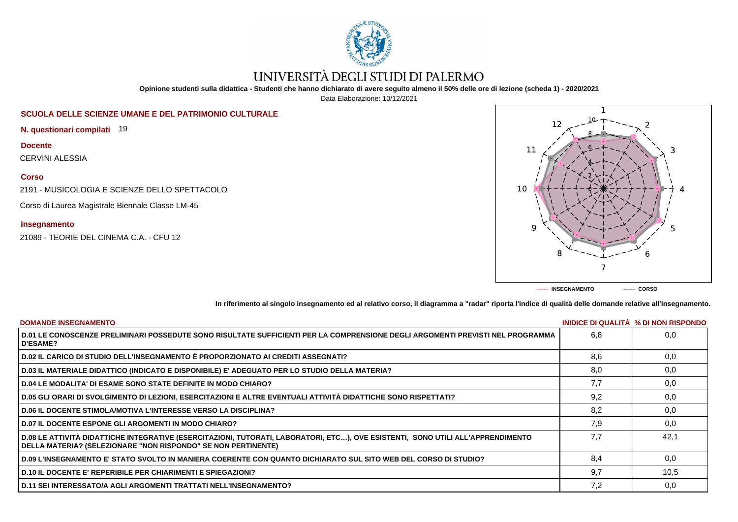

# UNIVERSITÀ DEGLI STUDI DI PALERMO

**Opinione studenti sulla didattica - Studenti che hanno dichiarato di avere seguito almeno il 50% delle ore di lezione (scheda 1) - 2020/2021**

Data Elaborazione: 10/12/2021

# **SCUOLA DELLE SCIENZE UMANE E DEL PATRIMONIO CULTURALE**

**N. questionari compilati** 19

**Docente**

CERVINI ALESSIA

### **Corso**

2191 - MUSICOLOGIA E SCIENZE DELLO SPETTACOLO

Corso di Laurea Magistrale Biennale Classe LM-45

## **Insegnamento**

21089 - TEORIE DEL CINEMA C.A. - CFU 12



**In riferimento al singolo insegnamento ed al relativo corso, il diagramma a "radar" riporta l'indice di qualità delle domande relative all'insegnamento.**

| <b>DOMANDE INSEGNAMENTO</b>                                                                                                                                                                             |     | INIDICE DI QUALITA % DI NON RISPONDO |
|---------------------------------------------------------------------------------------------------------------------------------------------------------------------------------------------------------|-----|--------------------------------------|
| D.01 LE CONOSCENZE PRELIMINARI POSSEDUTE SONO RISULTATE SUFFICIENTI PER LA COMPRENSIONE DEGLI ARGOMENTI PREVISTI NEL PROGRAMMA<br><b>D'ESAME?</b>                                                       | 6.8 | 0.0                                  |
| D.02 IL CARICO DI STUDIO DELL'INSEGNAMENTO È PROPORZIONATO AI CREDITI ASSEGNATI?                                                                                                                        | 8,6 | 0,0                                  |
| D.03 IL MATERIALE DIDATTICO (INDICATO E DISPONIBILE) E' ADEGUATO PER LO STUDIO DELLA MATERIA?                                                                                                           | 8,0 | 0,0                                  |
| <b>D.04 LE MODALITA' DI ESAME SONO STATE DEFINITE IN MODO CHIARO?</b>                                                                                                                                   | 7.7 | 0,0                                  |
| D.05 GLI ORARI DI SVOLGIMENTO DI LEZIONI, ESERCITAZIONI E ALTRE EVENTUALI ATTIVITÀ DIDATTICHE SONO RISPETTATI?                                                                                          | 9,2 | 0,0                                  |
| <b>D.06 IL DOCENTE STIMOLA/MOTIVA L'INTERESSE VERSO LA DISCIPLINA?</b>                                                                                                                                  | 8.2 | 0.0                                  |
| <b>D.07 IL DOCENTE ESPONE GLI ARGOMENTI IN MODO CHIARO?</b>                                                                                                                                             | 7,9 | 0,0                                  |
| D.08 LE ATTIVITÀ DIDATTICHE INTEGRATIVE (ESERCITAZIONI, TUTORATI, LABORATORI, ETC), OVE ESISTENTI, SONO UTILI ALL'APPRENDIMENTO<br><b>DELLA MATERIA? (SELEZIONARE "NON RISPONDO" SE NON PERTINENTE)</b> | 7.7 | 42.1                                 |
| D.09 L'INSEGNAMENTO E' STATO SVOLTO IN MANIERA COERENTE CON QUANTO DICHIARATO SUL SITO WEB DEL CORSO DI STUDIO?                                                                                         | 8.4 | 0,0                                  |
| <b>D.10 IL DOCENTE E' REPERIBILE PER CHIARIMENTI E SPIEGAZIONI?</b>                                                                                                                                     | 9.7 | 10,5                                 |
| <b>D.11 SEI INTERESSATO/A AGLI ARGOMENTI TRATTATI NELL'INSEGNAMENTO?</b>                                                                                                                                | 7,2 | 0,0                                  |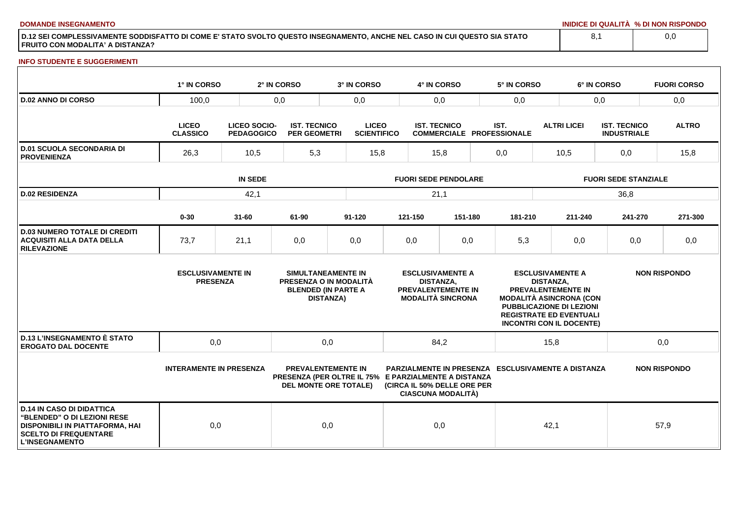**DOMANDE INSEGNAMENTO INIDICE DI QUALITÀ % DI NON RISPONDO**

**D.12 SEI COMPLESSIVAMENTE SODDISFATTO DI COME E' STATO SVOLTO QUESTO INSEGNAMENTO, ANCHE NEL CASO IN CUI QUESTO SIA STATO FRUITO CON MODALITA' A DISTANZA?**

### **INFO STUDENTE E SUGGERIMENTI**

|                                                                                                                                                                    | 1° IN CORSO                                 |                                          | 2° IN CORSO                                | 3° IN CORSO                                                                                                       |                             | 4° IN CORSO                                             |                                                                                  |      | 5° IN CORSO                                               |                             | 6° IN CORSO                                                                                                                                                                             |                                           |      | <b>FUORI CORSO</b>  |
|--------------------------------------------------------------------------------------------------------------------------------------------------------------------|---------------------------------------------|------------------------------------------|--------------------------------------------|-------------------------------------------------------------------------------------------------------------------|-----------------------------|---------------------------------------------------------|----------------------------------------------------------------------------------|------|-----------------------------------------------------------|-----------------------------|-----------------------------------------------------------------------------------------------------------------------------------------------------------------------------------------|-------------------------------------------|------|---------------------|
| <b>D.02 ANNO DI CORSO</b>                                                                                                                                          | 100,0<br>0,0                                |                                          |                                            | 0,0                                                                                                               |                             | 0,0                                                     |                                                                                  | 0,0  |                                                           | 0,0                         |                                                                                                                                                                                         |                                           |      | 0,0                 |
|                                                                                                                                                                    | <b>LICEO</b><br><b>CLASSICO</b>             | <b>LICEO SOCIO-</b><br><b>PEDAGOGICO</b> | <b>IST. TECNICO</b><br><b>PER GEOMETRI</b> | <b>LICEO</b><br><b>SCIENTIFICO</b>                                                                                |                             | <b>IST. TECNICO</b><br><b>COMMERCIALE PROFESSIONALE</b> |                                                                                  | IST. |                                                           | <b>ALTRI LICEI</b>          |                                                                                                                                                                                         | <b>IST. TECNICO</b><br><b>INDUSTRIALE</b> |      | <b>ALTRO</b>        |
| <b>D.01 SCUOLA SECONDARIA DI</b><br><b>PROVENIENZA</b>                                                                                                             | 26,3<br>10,5                                |                                          | 5,3                                        | 15,8                                                                                                              | 15,8                        |                                                         |                                                                                  | 0,0  |                                                           | 10,5                        |                                                                                                                                                                                         | 0,0                                       |      | 15,8                |
|                                                                                                                                                                    |                                             | <b>IN SEDE</b>                           |                                            |                                                                                                                   | <b>FUORI SEDE PENDOLARE</b> |                                                         |                                                                                  |      |                                                           | <b>FUORI SEDE STANZIALE</b> |                                                                                                                                                                                         |                                           |      |                     |
| <b>D.02 RESIDENZA</b>                                                                                                                                              | 42,1                                        |                                          |                                            |                                                                                                                   | 21,1                        |                                                         |                                                                                  |      |                                                           | 36,8                        |                                                                                                                                                                                         |                                           |      |                     |
|                                                                                                                                                                    | $0 - 30$                                    | $31 - 60$                                | 61-90                                      | $91 - 120$                                                                                                        |                             | 121-150                                                 | 151-180                                                                          |      | 181-210                                                   |                             | 211-240                                                                                                                                                                                 | 241-270                                   |      | 271-300             |
| <b>D.03 NUMERO TOTALE DI CREDITI</b><br><b>ACQUISITI ALLA DATA DELLA</b><br><b>RILEVAZIONE</b>                                                                     | 73,7                                        | 21,1                                     | 0,0                                        | 0,0                                                                                                               |                             | 0,0                                                     | 0,0                                                                              |      | 5,3                                                       |                             | 0,0                                                                                                                                                                                     | 0,0                                       |      | 0,0                 |
|                                                                                                                                                                    | <b>ESCLUSIVAMENTE IN</b><br><b>PRESENZA</b> |                                          |                                            | SIMULTANEAMENTE IN<br>PRESENZA O IN MODALITÀ<br><b>BLENDED (IN PARTE A</b><br><b>DISTANZA)</b>                    |                             | <b>DISTANZA,</b>                                        | <b>ESCLUSIVAMENTE A</b><br><b>PREVALENTEMENTE IN</b><br><b>MODALITÀ SINCRONA</b> |      |                                                           | <b>DISTANZA.</b>            | <b>ESCLUSIVAMENTE A</b><br>PREVALENTEMENTE IN<br><b>MODALITÀ ASINCRONA (CON</b><br><b>PUBBLICAZIONE DI LEZIONI</b><br><b>REGISTRATE ED EVENTUALI</b><br><b>INCONTRI CON IL DOCENTE)</b> |                                           |      | <b>NON RISPONDO</b> |
| <b>D.13 L'INSEGNAMENTO È STATO</b><br><b>EROGATO DAL DOCENTE</b>                                                                                                   | 0,0                                         |                                          |                                            | 0,0                                                                                                               |                             | 84,2<br>15,8                                            |                                                                                  |      |                                                           |                             | 0,0                                                                                                                                                                                     |                                           |      |                     |
|                                                                                                                                                                    | <b>INTERAMENTE IN PRESENZA</b>              |                                          |                                            | <b>PREVALENTEMENTE IN</b><br>PRESENZA (PER OLTRE IL 75% E PARZIALMENTE A DISTANZA<br><b>DEL MONTE ORE TOTALE)</b> |                             |                                                         | (CIRCA IL 50% DELLE ORE PER<br><b>CIASCUNA MODALITÀ)</b>                         |      | <b>PARZIALMENTE IN PRESENZA ESCLUSIVAMENTE A DISTANZA</b> |                             |                                                                                                                                                                                         |                                           |      | <b>NON RISPONDO</b> |
| <b>D.14 IN CASO DI DIDATTICA</b><br><b>"BLENDED" O DI LEZIONI RESE</b><br>DISPONIBILI IN PIATTAFORMA, HAI<br><b>SCELTO DI FREQUENTARE</b><br><b>L'INSEGNAMENTO</b> | 0,0                                         |                                          |                                            | 0,0                                                                                                               |                             | 0,0                                                     |                                                                                  |      |                                                           | 42,1                        |                                                                                                                                                                                         |                                           | 57,9 |                     |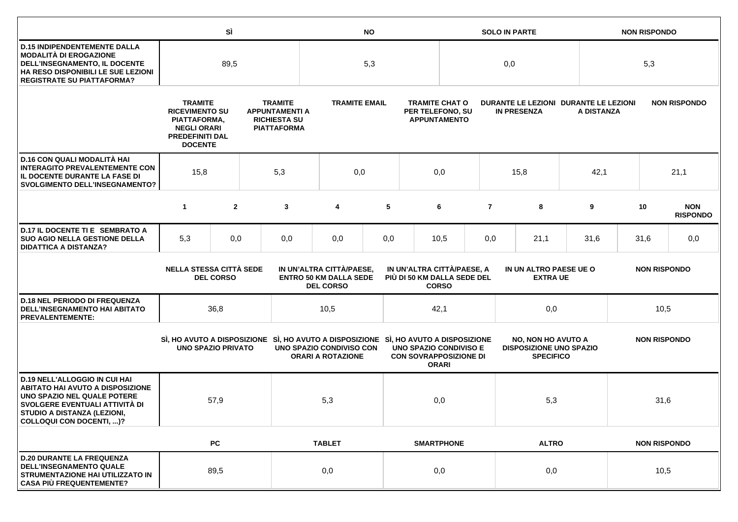|                                                                                                                                                                                                             |                                                                                                                           | SÌ               |                                                                                      | <b>NO</b>                                                                           |                                                                               |     |                                                                  | <b>SOLO IN PARTE</b> |                                                                                                        |                                                                                 |            | <b>NON RISPONDO</b> |                     |      |                               |
|-------------------------------------------------------------------------------------------------------------------------------------------------------------------------------------------------------------|---------------------------------------------------------------------------------------------------------------------------|------------------|--------------------------------------------------------------------------------------|-------------------------------------------------------------------------------------|-------------------------------------------------------------------------------|-----|------------------------------------------------------------------|----------------------|--------------------------------------------------------------------------------------------------------|---------------------------------------------------------------------------------|------------|---------------------|---------------------|------|-------------------------------|
| <b>D.15 INDIPENDENTEMENTE DALLA</b><br><b>MODALITÀ DI EROGAZIONE</b><br>DELL'INSEGNAMENTO, IL DOCENTE<br>HA RESO DISPONIBILI LE SUE LEZIONI<br><b>REGISTRATE SU PIATTAFORMA?</b>                            | 89,5                                                                                                                      |                  |                                                                                      | 5,3                                                                                 |                                                                               |     |                                                                  | 0,0                  |                                                                                                        |                                                                                 |            | 5,3                 |                     |      |                               |
|                                                                                                                                                                                                             | <b>TRAMITE</b><br><b>RICEVIMENTO SU</b><br>PIATTAFORMA,<br><b>NEGLI ORARI</b><br><b>PREDEFINITI DAL</b><br><b>DOCENTE</b> |                  | <b>TRAMITE</b><br><b>APPUNTAMENTI A</b><br><b>RICHIESTA SU</b><br><b>PIATTAFORMA</b> |                                                                                     | <b>TRAMITE EMAIL</b>                                                          |     | <b>TRAMITE CHAT O</b><br>PER TELEFONO, SU<br><b>APPUNTAMENTO</b> |                      | DURANTE LE LEZIONI DURANTE LE LEZIONI<br><b>IN PRESENZA</b>                                            |                                                                                 | A DISTANZA |                     | <b>NON RISPONDO</b> |      |                               |
| D.16 CON QUALI MODALITÀ HAI<br><b>INTERAGITO PREVALENTEMENTE CON</b><br>IL DOCENTE DURANTE LA FASE DI<br><b>SVOLGIMENTO DELL'INSEGNAMENTO?</b>                                                              | 15,8                                                                                                                      |                  | 5,3                                                                                  | 0,0                                                                                 |                                                                               | 0,0 |                                                                  |                      | 15,8                                                                                                   |                                                                                 | 42,1       |                     |                     | 21,1 |                               |
|                                                                                                                                                                                                             | $\mathbf{1}$                                                                                                              | $\overline{2}$   |                                                                                      | 3                                                                                   | 4                                                                             | 5   |                                                                  | 6                    | $\overline{7}$                                                                                         | 8                                                                               |            | 9                   |                     | 10   | <b>NON</b><br><b>RISPONDO</b> |
| D.17 IL DOCENTE TI E SEMBRATO A<br><b>SUO AGIO NELLA GESTIONE DELLA</b><br><b>DIDATTICA A DISTANZA?</b>                                                                                                     | 5,3                                                                                                                       | 0,0              |                                                                                      | 0,0                                                                                 | 0,0                                                                           | 0,0 |                                                                  | 10,5                 | 0,0                                                                                                    | 21,1                                                                            |            | 31,6                |                     | 31,6 | 0,0                           |
|                                                                                                                                                                                                             | <b>NELLA STESSA CITTÀ SEDE</b>                                                                                            | <b>DEL CORSO</b> |                                                                                      |                                                                                     | IN UN'ALTRA CITTÀ/PAESE,<br><b>ENTRO 50 KM DALLA SEDE</b><br><b>DEL CORSO</b> |     |                                                                  | <b>CORSO</b>         | IN UN'ALTRA CITTÀ/PAESE, A<br>IN UN ALTRO PAESE UE O<br>PIÙ DI 50 KM DALLA SEDE DEL<br><b>EXTRA UE</b> |                                                                                 |            |                     | <b>NON RISPONDO</b> |      |                               |
| <b>D.18 NEL PERIODO DI FREQUENZA</b><br><b>DELL'INSEGNAMENTO HAI ABITATO</b><br><b>PREVALENTEMENTE:</b>                                                                                                     |                                                                                                                           | 36,8             |                                                                                      |                                                                                     | 10,5                                                                          |     |                                                                  | 42,1                 |                                                                                                        | 0,0                                                                             |            | 10,5                |                     |      |                               |
|                                                                                                                                                                                                             | <b>UNO SPAZIO PRIVATO</b>                                                                                                 |                  |                                                                                      | SI, HO AVUTO A DISPOSIZIONE SI, HO AVUTO A DISPOSIZIONE SI, HO AVUTO A DISPOSIZIONE | UNO SPAZIO CONDIVISO CON<br><b>ORARI A ROTAZIONE</b>                          |     | <b>UNO SPAZIO CONDIVISO E</b><br><b>CON SOVRAPPOSIZIONE DI</b>   | <b>ORARI</b>         |                                                                                                        | <b>NO, NON HO AVUTO A</b><br><b>DISPOSIZIONE UNO SPAZIO</b><br><b>SPECIFICO</b> |            | <b>NON RISPONDO</b> |                     |      |                               |
| <b>D.19 NELL'ALLOGGIO IN CUI HAI</b><br><b>ABITATO HAI AVUTO A DISPOSIZIONE</b><br>UNO SPAZIO NEL QUALE POTERE<br>SVOLGERE EVENTUALI ATTIVITÀ DI<br>STUDIO A DISTANZA (LEZIONI,<br>COLLOQUI CON DOCENTI, )? |                                                                                                                           | 57,9             |                                                                                      |                                                                                     | 5,3                                                                           |     |                                                                  | 0,0                  | 5,3                                                                                                    |                                                                                 |            | 31,6                |                     |      |                               |
|                                                                                                                                                                                                             |                                                                                                                           | <b>PC</b>        |                                                                                      |                                                                                     | <b>TABLET</b>                                                                 |     |                                                                  | <b>SMARTPHONE</b>    |                                                                                                        | <b>ALTRO</b>                                                                    |            |                     | <b>NON RISPONDO</b> |      |                               |
| <b>D.20 DURANTE LA FREQUENZA</b><br><b>DELL'INSEGNAMENTO QUALE</b><br>STRUMENTAZIONE HAI UTILIZZATO IN<br><b>CASA PIÙ FREQUENTEMENTE?</b>                                                                   |                                                                                                                           | 89,5             |                                                                                      |                                                                                     | 0,0                                                                           |     |                                                                  | 0,0                  |                                                                                                        | 0,0                                                                             |            | 10,5                |                     |      |                               |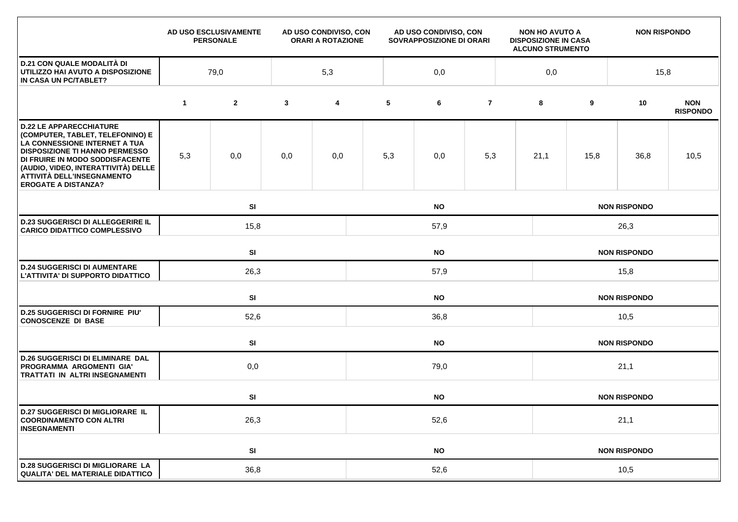|                                                                                                                                                                                                                                                                                    |             | AD USO ESCLUSIVAMENTE<br><b>PERSONALE</b> |              | AD USO CONDIVISO, CON<br><b>ORARI A ROTAZIONE</b> | AD USO CONDIVISO, CON<br>SOVRAPPOSIZIONE DI ORARI |           |                | <b>NON HO AVUTO A</b><br><b>DISPOSIZIONE IN CASA</b><br><b>ALCUNO STRUMENTO</b> |                     | <b>NON RISPONDO</b> |                     |                               |  |  |
|------------------------------------------------------------------------------------------------------------------------------------------------------------------------------------------------------------------------------------------------------------------------------------|-------------|-------------------------------------------|--------------|---------------------------------------------------|---------------------------------------------------|-----------|----------------|---------------------------------------------------------------------------------|---------------------|---------------------|---------------------|-------------------------------|--|--|
| <b>D.21 CON QUALE MODALITÀ DI</b><br>UTILIZZO HAI AVUTO A DISPOSIZIONE<br>IN CASA UN PC/TABLET?                                                                                                                                                                                    | 79,0        |                                           |              | 5,3                                               |                                                   | 0,0       |                |                                                                                 | 0,0                 |                     | 15,8                |                               |  |  |
|                                                                                                                                                                                                                                                                                    | $\mathbf 1$ | $\mathbf{2}$                              | $\mathbf{3}$ | $\overline{\mathbf{4}}$                           | 5                                                 | 6         | $\overline{7}$ |                                                                                 | 8                   | 9                   | 10                  | <b>NON</b><br><b>RISPONDO</b> |  |  |
| <b>D.22 LE APPARECCHIATURE</b><br>(COMPUTER, TABLET, TELEFONINO) E<br>LA CONNESSIONE INTERNET A TUA<br><b>DISPOSIZIONE TI HANNO PERMESSO</b><br>DI FRUIRE IN MODO SODDISFACENTE<br>(AUDIO, VIDEO, INTERATTIVITÀ) DELLE<br>ATTIVITÀ DELL'INSEGNAMENTO<br><b>EROGATE A DISTANZA?</b> | 5,3         | 0,0                                       | 0,0          | 0,0                                               | 5,3                                               | 0,0       | 5,3            |                                                                                 | 21,1                | 15,8                | 36,8                | 10,5                          |  |  |
|                                                                                                                                                                                                                                                                                    |             | SI<br><b>NO</b>                           |              |                                                   |                                                   |           |                |                                                                                 | <b>NON RISPONDO</b> |                     |                     |                               |  |  |
| <b>D.23 SUGGERISCI DI ALLEGGERIRE IL</b><br><b>CARICO DIDATTICO COMPLESSIVO</b>                                                                                                                                                                                                    |             | 15,8<br>57,9                              |              |                                                   |                                                   |           |                |                                                                                 | 26,3                |                     |                     |                               |  |  |
|                                                                                                                                                                                                                                                                                    |             | SI<br><b>NO</b>                           |              |                                                   |                                                   |           |                |                                                                                 | <b>NON RISPONDO</b> |                     |                     |                               |  |  |
| <b>D.24 SUGGERISCI DI AUMENTARE</b><br>L'ATTIVITA' DI SUPPORTO DIDATTICO                                                                                                                                                                                                           |             | 26,3                                      |              |                                                   | 57,9                                              |           |                |                                                                                 |                     | 15,8                |                     |                               |  |  |
|                                                                                                                                                                                                                                                                                    |             | SI                                        |              |                                                   | <b>NO</b>                                         |           |                |                                                                                 |                     |                     | <b>NON RISPONDO</b> |                               |  |  |
| <b>D.25 SUGGERISCI DI FORNIRE PIU'</b><br><b>CONOSCENZE DI BASE</b>                                                                                                                                                                                                                |             | 52,6                                      |              |                                                   | 36,8                                              |           |                |                                                                                 |                     | 10,5                |                     |                               |  |  |
|                                                                                                                                                                                                                                                                                    |             | SI                                        |              | <b>NO</b>                                         |                                                   |           |                |                                                                                 |                     | <b>NON RISPONDO</b> |                     |                               |  |  |
| <b>D.26 SUGGERISCI DI ELIMINARE DAL</b><br>PROGRAMMA ARGOMENTI GIA'<br><b>TRATTATI IN ALTRI INSEGNAMENTI</b>                                                                                                                                                                       |             | 0,0                                       | 79,0         |                                                   |                                                   |           |                |                                                                                 | 21,1                |                     |                     |                               |  |  |
|                                                                                                                                                                                                                                                                                    |             | SI                                        |              |                                                   |                                                   | <b>NO</b> |                | <b>NON RISPONDO</b>                                                             |                     |                     |                     |                               |  |  |
| <b>D.27 SUGGERISCI DI MIGLIORARE IL</b><br><b>COORDINAMENTO CON ALTRI</b><br><b>INSEGNAMENTI</b>                                                                                                                                                                                   |             | 26,3                                      |              |                                                   | 52,6                                              |           |                |                                                                                 |                     | 21,1                |                     |                               |  |  |
|                                                                                                                                                                                                                                                                                    |             | SI                                        |              |                                                   |                                                   | <b>NO</b> |                |                                                                                 |                     | <b>NON RISPONDO</b> |                     |                               |  |  |
| <b>D.28 SUGGERISCI DI MIGLIORARE LA</b><br>QUALITA' DEL MATERIALE DIDATTICO                                                                                                                                                                                                        |             | 36,8                                      |              |                                                   | 52,6                                              |           |                |                                                                                 |                     | 10,5                |                     |                               |  |  |